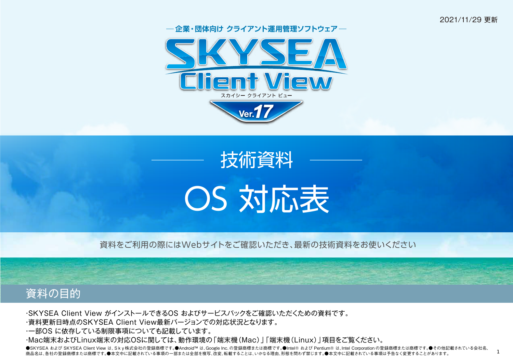2021/11/29 更新

1







資料をご利用の際にはWebサイトをご確認いただき、最新の技術資料をお使いください



・SKYSEA Client View がインストールできるOS およびサービスパックをご確認いただくための資料です。

・資料更新日時点のSKYSEA Client View最新バージョンでの対応状況となります。

・一部OS に依存している制限事項についても記載しています。

・Mac端末およびLinux端末の対応OSに関しては、動作環境の「端末機(Mac)」「端末機(Linux)」項目をご覧ください。

●SKYSEA および SKYSEA Client View は、Sky株式会社の登録商標です。●Android™ は、Google Inc.の登録商標または商標です。●Intel® および Pentium® は、Intel Corporation の登録商標または商標です。●その他記載されている会社名、 商品名は、各社の登録商標または商標です。●本文中に記載されている事項の一部または全部を複写、改変、転載することは、いかなる理由、形態を問わず禁じます。●本文中に記載されている事項は予告なく変更することがあります。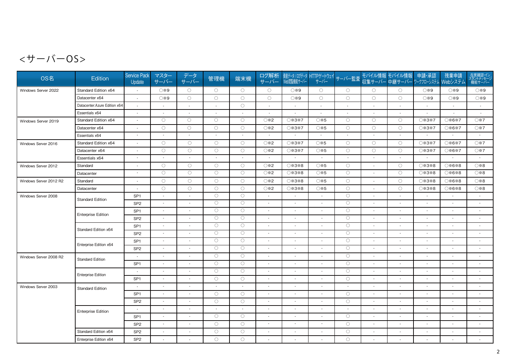$<$ サーバーOS>

| OS名                    | Edition                       | <b>Service Pack</b><br>Update | マスター<br>サーバー                | データ<br>サーバー              | 管理機                      | 端末機                      | ログ解析<br>サーバー             |                          |                          |                          |                          | 資産データ/ログデータ HTTPゲートウェイ サーバー監査 モバイル情報 モバイル情報  申請・承認   残業申請<br> Web閲覧機能サーバー   サーバー   サーバー監査  収集サーバー   中継サーバー ワークフローシステム Webシステム |                          |                          | 在席確認・イン<br>スタントメッセージ<br>機能サーバー |
|------------------------|-------------------------------|-------------------------------|-----------------------------|--------------------------|--------------------------|--------------------------|--------------------------|--------------------------|--------------------------|--------------------------|--------------------------|-------------------------------------------------------------------------------------------------------------------------------|--------------------------|--------------------------|--------------------------------|
| Windows Server 2022    | Standard Edition x64          | $\sim$                        | ○※9                         | $\circ$                  | $\circ$                  | $\circ$                  | $\circ$                  | ○※9                      | $\circ$                  | $\circ$                  | $\circ$                  | $\circ$                                                                                                                       | ○※9                      | ○ ※ 9                    | ○※9                            |
|                        | Datacenter x64                |                               | ○※9                         | $\circ$                  | $\bigcirc$               | $\bigcirc$               | $\circ$                  | $\circ$ *9               | $\circ$                  | $\circ$                  | $\bigcirc$               | $\bigcirc$                                                                                                                    | ○※9                      | ○※9                      | ○※9                            |
|                        | Datacenter: Azure Edition x64 |                               |                             | $\sim$                   | $\sim$                   | $\bigcirc$               |                          |                          | $\overline{\phantom{a}}$ | $\overline{\phantom{a}}$ |                          | $\overline{\phantom{a}}$                                                                                                      | $\overline{\phantom{a}}$ |                          | $\sim$                         |
|                        | Essentials x64                | $\overline{\phantom{a}}$      | $\overline{\phantom{a}}$    | $\overline{\phantom{a}}$ | $\overline{\phantom{a}}$ | $\overline{\phantom{a}}$ | $\overline{\phantom{a}}$ | $\overline{\phantom{a}}$ | $\overline{\phantom{a}}$ | $\sim$                   | $\sim$                   | $\overline{\phantom{a}}$                                                                                                      | $\overline{\phantom{a}}$ | $\overline{\phantom{a}}$ | $\sim$                         |
| Windows Server 2019    | Standard Edition x64          | $\overline{\phantom{a}}$      | $\circ$                     | $\circ$                  | $\circ$                  | $\circ$                  | $\circ$ $*$ 2            | ○※3※7                    | $\oslash$ *5             | $\circ$                  | $\circlearrowright$      | $\circ$                                                                                                                       | ○※3※7                    | ○※6※7                    | O X7                           |
|                        | Datacenter x64                | $\overline{\phantom{a}}$      | $\circ$                     | $\bigcirc$               | $\circ$                  | $\circ$                  | ○※2                      | ○※3※7                    | ○※5                      | $\bigcirc$               | $\bigcirc$               | $\bigcirc$                                                                                                                    | ○※3※7                    | ○※6※7                    | ○※7                            |
|                        | Essentials x64                | $\overline{\phantom{a}}$      | $\overline{\phantom{a}}$    | $\overline{\phantom{a}}$ | $\overline{\phantom{a}}$ | $\sim$                   | $\sim$                   | $\overline{\phantom{a}}$ | $\overline{\phantom{a}}$ | $\overline{\phantom{a}}$ | $\blacksquare$           | $\sim$                                                                                                                        | $\overline{\phantom{a}}$ | $\sim$                   | $\overline{\phantom{a}}$       |
| Windows Server 2016    | Standard Edition x64          |                               | $\circ$                     | $\circ$                  | $\bigcirc$               | $\bigcirc$               | ○※2                      | ○※3※7                    | $\oslash$ *5             | $\circ$                  | $\circ$                  | $\circ$                                                                                                                       | ○※3※7                    | ○※6※7                    | ○※7                            |
|                        | Datacenter x64                |                               | $\circ$                     | $\bigcirc$               | $\circ$                  | $\circ$                  | $\circ$ *2               | ○※3※7                    | $\oslash$ *5             | $\bigcirc$               | $\bigcirc$               | $\bigcirc$                                                                                                                    | ○※3※7                    | ○※6※7                    | $\bigcirc\$ 7                  |
|                        | Essentials x64                | $\sim$                        | $\sim$                      | $\sim$                   | $\sim$                   | $\sim$                   | $\sim$                   | $\sim$                   | $\sim$                   | $\sim$                   | $\sim$                   | $\sim$                                                                                                                        | $\overline{\phantom{a}}$ | $\sim$                   | $\sim$                         |
| Windows Server 2012    | Standard                      |                               | $\circ$                     | $\bigcirc$               | $\circ$                  | $\circ$                  | $\oslash$ *2             | ○※3※8                    | ○※5                      | $\bigcirc$               | $\sim$                   | $\bigcirc$                                                                                                                    | ○※3※8                    | ○※6※8                    | ○ ※ 8                          |
|                        | Datacenter                    | $\overline{\phantom{a}}$      | $\bigcirc$                  | $\circ$                  | $\bigcirc$               | $\circ$                  | $\oslash$ $\times$ 2     | ○※3※8                    | ○※5                      | $\circ$                  | $\overline{\phantom{a}}$ | $\circ$                                                                                                                       | ○※3※8                    | O*6*8                    | ◯ $%8$                         |
| Windows Server 2012 R2 | Standard                      |                               | $\circ$                     | $\circ$                  | $\circ$                  | $\circ$                  | ○※2                      | ○※3※8                    | ○※5                      | $\circ$                  |                          | $\bigcirc$                                                                                                                    | ○※3※8                    | ○※6※8                    | ○ ※ 8                          |
|                        | Datacenter                    |                               | $\circ$                     | $\circ$                  | $\circ$                  | $\circ$                  | ◯ $%2$                   | ○※3※8                    | $\circ$ $*$ 5            | $\bigcirc$               |                          | $\bigcirc$                                                                                                                    | ○※3※8                    | ○※6※8                    | ◯ $%8$                         |
| Windows Server 2008    | <b>Standard Edition</b>       | SP <sub>1</sub>               | $\overline{\phantom{a}}$    | $\sim$                   | $\circ$                  | $\circ$                  | $\overline{\phantom{a}}$ | $\sim$                   | $\sim$                   | $\bigcirc$               | $\sim$                   | $\sim$                                                                                                                        | $\blacksquare$           | $\sim$                   | $\overline{\phantom{a}}$       |
|                        |                               | SP <sub>2</sub>               | $\overline{\phantom{a}}$    | $\overline{\phantom{a}}$ | $\circ$                  | $\circ$                  | $\overline{\phantom{a}}$ | $\overline{\phantom{a}}$ | $\overline{\phantom{a}}$ | $\bigcirc$               | $\sim$                   | $\overline{\phantom{a}}$                                                                                                      | $\overline{\phantom{a}}$ | $\overline{\phantom{a}}$ | $\overline{\phantom{a}}$       |
|                        | <b>Enterprise Edition</b>     | SP <sub>1</sub>               | $\sim$                      | $\sim$                   | $\circ$                  | $\circ$                  | $\sim$                   | $\overline{\phantom{a}}$ | $\overline{\phantom{a}}$ | $\circ$                  | $\sim$                   | $\sim$                                                                                                                        | $\blacksquare$           | $\overline{\phantom{a}}$ | $\overline{\phantom{a}}$       |
|                        |                               | SP <sub>2</sub>               | $\mathcal{L}_{\mathcal{A}}$ | $\sim$                   | $\circ$                  | $\bigcirc$               | $\sim$                   | $\overline{\phantom{a}}$ | $\overline{\phantom{a}}$ | $\bigcirc$               | $\sim$                   | $\sim$                                                                                                                        | $\overline{\phantom{a}}$ | $\overline{\phantom{a}}$ | $\blacksquare$                 |
|                        | Standard Edition x64          | SP <sub>1</sub>               | $\sim$                      | $\sim$                   | $\circ$                  | $\circ$                  |                          |                          |                          | $\circ$                  | $\sim$                   | $\sim$                                                                                                                        | $\sim$                   | $\sim$                   | $\sim$                         |
|                        |                               | SP <sub>2</sub>               | $\overline{\phantom{a}}$    | $\overline{\phantom{a}}$ | $\circ$                  | $\circ$                  |                          | $\overline{\phantom{a}}$ | $\sim$                   | $\bigcirc$               | $\overline{\phantom{a}}$ | $\overline{\phantom{a}}$                                                                                                      | $\sim$                   | $\overline{\phantom{a}}$ | $\overline{\phantom{a}}$       |
|                        | Enterprise Edition x64        | SP <sub>1</sub>               | $\sim$                      | $\overline{\phantom{a}}$ | $\circ$                  | $\circ$                  | $\sim$                   | $\sim$                   | $\overline{a}$           | $\circ$                  | $\sim$                   | $\sim$                                                                                                                        | $\sim$                   | $\overline{\phantom{a}}$ | $\sim$                         |
|                        |                               | SP <sub>2</sub>               | $\sim$                      | $\sim$                   | $\circ$                  | $\circ$                  | $\overline{a}$           | $\overline{\phantom{a}}$ | $\overline{\phantom{a}}$ | $\circ$                  | $\sim$                   | $\sim$                                                                                                                        | $\overline{\phantom{a}}$ | $\sim$                   | $\sim$                         |
| Windows Server 2008 R2 | <b>Standard Edition</b>       | $\overline{\phantom{a}}$      | $\sim$                      | $\sim$                   | $\circ$                  | $\circlearrowright$      | $\overline{\phantom{a}}$ | $\overline{\phantom{a}}$ | $\overline{\phantom{a}}$ | $\circlearrowright$      | $\overline{\phantom{a}}$ | $\overline{\phantom{a}}$                                                                                                      | $\overline{\phantom{a}}$ | $\blacksquare$           | $\sim$                         |
|                        |                               | SP <sub>1</sub>               | $\mathcal{L}_{\mathcal{A}}$ | $\sim$                   | $\circ$                  | $\circ$                  | $\sim$                   | $\overline{\phantom{a}}$ | $\overline{\phantom{a}}$ | $\bigcirc$               | $\sim$                   | $\overline{\phantom{a}}$                                                                                                      | $\sim$                   | $\sim$                   |                                |
|                        | <b>Enterprise Edition</b>     | $\overline{\phantom{a}}$      | $\blacksquare$              | $\overline{\phantom{a}}$ | $\bigcirc$               | $\bigcirc$               | $\overline{\phantom{a}}$ |                          | $\overline{\phantom{a}}$ | $\bigcirc$               | $\sim$                   | $\overline{\phantom{a}}$                                                                                                      | $\overline{\phantom{a}}$ | $\overline{\phantom{a}}$ | $\tilde{\phantom{a}}$          |
|                        |                               | SP <sub>1</sub>               | $\overline{\phantom{a}}$    | $\blacksquare$           | $\circ$                  | $\circ$                  | $\overline{\phantom{a}}$ | $\overline{\phantom{a}}$ | $\sim$                   | $\circ$                  | $\overline{\phantom{a}}$ | $\blacksquare$                                                                                                                | $\sim$                   | $\overline{\phantom{a}}$ | $\sim$                         |
| Windows Server 2003    | <b>Standard Edition</b>       | $\overline{\phantom{a}}$      | $\overline{\phantom{a}}$    | $\overline{\phantom{a}}$ | $\overline{\phantom{a}}$ | $\sim$                   | $\overline{\phantom{a}}$ | $\overline{\phantom{a}}$ | $\overline{\phantom{a}}$ | $\sim$                   | $\sim$                   | $\overline{\phantom{a}}$                                                                                                      | $\overline{\phantom{a}}$ | $\overline{\phantom{a}}$ | $\overline{\phantom{a}}$       |
|                        |                               | SP <sub>1</sub>               | $\sim$                      | $\sim$                   | $\circ$                  | $\circ$                  | $\sim$                   | $\overline{\phantom{a}}$ | $\overline{\phantom{a}}$ | $\circ$                  | $\sim$                   | $\sim$                                                                                                                        | $\sim$                   | $\overline{\phantom{a}}$ | $\sim$                         |
|                        |                               | SP <sub>2</sub>               | $\mathcal{L}_{\mathcal{A}}$ | $\sim$                   | $\circ$                  | $\circ$                  | $\sim$                   | $\overline{\phantom{a}}$ | $\overline{\phantom{a}}$ | $\circ$                  | $\sim$                   | $\mathcal{L}$                                                                                                                 | $\overline{\phantom{a}}$ | $\sim$                   | $\blacksquare$                 |
|                        | <b>Enterprise Edition</b>     |                               | $\overline{a}$              | $\overline{\phantom{a}}$ | $\overline{a}$           | $\overline{\phantom{a}}$ | $\overline{\phantom{a}}$ | $\sim$                   | $\overline{\phantom{a}}$ |                          | $\sim$                   | $\overline{\phantom{a}}$                                                                                                      | $\sim$                   | $\sim$                   | $\sim$                         |
|                        |                               | SP <sub>1</sub>               | $\blacksquare$              | $\sim$                   | $\circ$                  | $\circ$                  | $\sim$                   | $\overline{\phantom{a}}$ | $\overline{\phantom{a}}$ | $\bigcirc$               | $\sim$                   | $\sim$                                                                                                                        | $\overline{\phantom{a}}$ | $\sim$                   |                                |
|                        |                               | SP <sub>2</sub>               | $\sim$                      | $\sim$                   | $\circ$                  | $\circ$                  | $\overline{\phantom{a}}$ | $\sim$                   | $\overline{\phantom{a}}$ | $\bigcirc$               | $\sim$                   | $\sim$                                                                                                                        | $\blacksquare$           | $\sim$                   | $\sim$                         |
|                        | Standard Edition x64          | SP <sub>2</sub>               | $\blacksquare$              | $\sim$                   | $\circ$                  | $\circ$                  |                          |                          |                          | $\bigcirc$               | $\blacksquare$           | $\sim$                                                                                                                        | $\overline{\phantom{a}}$ | $\sim$                   |                                |
|                        | Enterprise Edition x64        | SP <sub>2</sub>               | $\blacksquare$              | $\sim$                   | $\circ$                  | $\circ$                  |                          |                          |                          | $\circ$                  | $\blacksquare$           | $\sim$                                                                                                                        |                          | $\sim$                   |                                |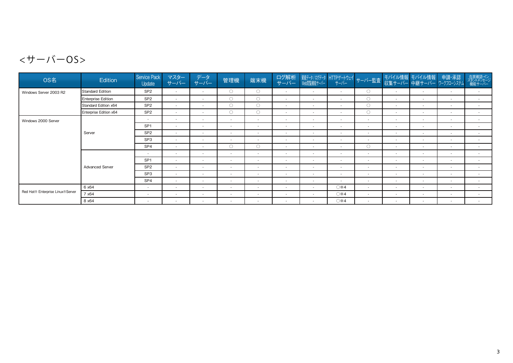## <サーバーOS>

| OS名                              | Edition                | Service Pack<br>Update   | マスター<br>サーバー             | データ<br>サーバー              | 管理機                      | 端末機                      | ログ解析<br>サーバー             | 資産データ/ログデータ HTTPゲートウェイ サーバー監査  <br>  Web閲覧機能サーバー     サーバー     サーバー |                          |                          |                          | モバイル情報 モバイル情報<br>収集サーバー 中継サーバー ワークフローシステム | 申請·承認                    | 在席確認・イン<br>スタントメッセージ<br>機能サーバー |
|----------------------------------|------------------------|--------------------------|--------------------------|--------------------------|--------------------------|--------------------------|--------------------------|--------------------------------------------------------------------|--------------------------|--------------------------|--------------------------|-------------------------------------------|--------------------------|--------------------------------|
| Windows Server 2003 R2           | Standard Edition       | SP <sub>2</sub>          | $\sim$                   | $\sim$                   | $\circ$                  | $\bigcirc$               | $\sim$                   | $\sim$                                                             | $\sim$                   | $\circ$                  | $\overline{\phantom{a}}$ | $\overline{\phantom{a}}$                  | $\sim$                   | $\sim$                         |
|                                  | Enterprise Edition     | SP <sub>2</sub>          | $\sim$                   | $\sim$                   | $\bigcirc$               | $\bigcirc$               | $\sim$                   | $\sim$                                                             | $\overline{\phantom{a}}$ | $\bigcirc$               | $\overline{\phantom{a}}$ | $\overline{\phantom{a}}$                  | $\overline{\phantom{a}}$ | $\sim$                         |
|                                  | Standard Edition x64   | SP <sub>2</sub>          | $\sim$                   | $\sim$                   | $\bigcirc$               | $\bigcirc$               | $\sim$                   | $\sim$                                                             | $\sim$                   | $\circ$                  | $\overline{\phantom{a}}$ | $\overline{\phantom{a}}$                  | $\sim$                   | $\sim$                         |
|                                  | Enterprise Edition x64 | SP <sub>2</sub>          | $\sim$                   | $\sim$                   | $\bigcirc$               | 0                        | $\sim$                   | $\sim$                                                             | $\sim$                   | $\bigcirc$               | $\overline{\phantom{a}}$ | $\overline{\phantom{a}}$                  | $\overline{\phantom{a}}$ | $\sim$                         |
| Windows 2000 Server              |                        | $\overline{\phantom{a}}$ | $\sim$                   | $\sim$                   | $\sim$                   | $\overline{\phantom{a}}$ | $\overline{\phantom{a}}$ | $\sim$                                                             | $\overline{\phantom{a}}$ | $\sim$                   | $\sim$                   | $\overline{\phantom{a}}$                  | $\overline{\phantom{a}}$ | $\sim$                         |
|                                  |                        | SP <sub>1</sub>          | $\sim$                   | $\sim$                   | $\sim$                   | $\overline{\phantom{a}}$ | $\overline{\phantom{a}}$ | $\sim$                                                             | $\overline{\phantom{a}}$ | $\overline{\phantom{a}}$ | $\sim$                   | $\overline{\phantom{a}}$                  | $\overline{\phantom{a}}$ | $\sim$                         |
|                                  | Server                 | SP <sub>2</sub>          | $\sim$                   | $\sim$                   | $\sim$                   | $\sim$                   | $\sim$                   | $\sim$                                                             | $\sim$                   | $\sim$                   | $\overline{\phantom{a}}$ | $\overline{\phantom{a}}$                  | $\sim$                   | $\sim$                         |
|                                  |                        | SP <sub>3</sub>          | $\sim$                   | $\sim$                   | $\sim$                   | $\overline{\phantom{a}}$ | $\overline{\phantom{a}}$ | $\overline{\phantom{a}}$                                           | $\overline{\phantom{a}}$ | $\overline{\phantom{a}}$ | $\overline{\phantom{a}}$ | $\overline{\phantom{a}}$                  | $\overline{\phantom{a}}$ | $\sim$                         |
|                                  |                        | SP <sub>4</sub>          | $\sim$                   | $\sim$                   | $\bigcirc$               | $\bigcirc$               | $\sim$                   | $\sim$                                                             | $\overline{\phantom{a}}$ | $\circ$                  | $\overline{\phantom{a}}$ | $\overline{\phantom{a}}$                  | $\overline{\phantom{a}}$ | $\sim$                         |
|                                  |                        | $\sim$                   | $\sim$                   | $\sim$                   | $\sim$                   | $\sim$                   | $\sim$                   | $\sim$                                                             | $\sim$                   | $\sim$                   | $\sim$                   | $\overline{\phantom{a}}$                  | $\sim$                   | $\sim$                         |
|                                  |                        | SP <sub>1</sub>          | $\sim$                   | $\sim$                   | $\sim$                   | $\sim$                   | $\sim$                   | $\sim$                                                             | $\sim$                   | $\sim$                   | $\sim$                   | $\overline{\phantom{a}}$                  | $\sim$                   | $\sim$                         |
|                                  | <b>Advanced Server</b> | SP <sub>2</sub>          | $\sim$                   | $\sim$                   | $\sim$                   | $\sim$                   | $\sim$                   | $\sim$                                                             | $\sim$                   | $\sim$                   | $\sim$                   | $\overline{\phantom{a}}$                  | $\overline{\phantom{a}}$ | $\sim$                         |
|                                  |                        | SP <sub>3</sub>          | $\sim$                   | $\sim$                   | $\sim$                   | $\sim$                   | $\overline{\phantom{a}}$ | $\sim$                                                             | $\overline{\phantom{a}}$ | $\overline{\phantom{a}}$ | $\sim$                   | $\overline{\phantom{a}}$                  | $\overline{\phantom{a}}$ | $\sim$                         |
|                                  |                        | SP <sub>4</sub>          | $\sim$                   | $\sim$                   | $\sim$                   | $\sim$                   | $\sim$                   | $\sim$                                                             | $\overline{\phantom{a}}$ | $\overline{\phantom{a}}$ | $\overline{\phantom{a}}$ | $\overline{\phantom{a}}$                  | $\sim$                   | $\overline{\phantom{a}}$       |
|                                  | 6 x 64                 | $\sim$                   | $\sim$                   | $\sim$                   | $\sim$                   | $\sim$                   | $\sim$                   | $\sim$                                                             | ○※4                      | $\sim$                   | $\sim$                   | $\overline{\phantom{a}}$                  | $\sim$                   | $\sim$                         |
| Red Hat® Enterprise Linux®Server | 7 x64                  | $\sim$                   | $\sim$                   | $\sim$                   | $\sim$                   | $\sim$                   | $\sim$                   | $\sim$                                                             | ○※4                      | $\sim$                   | $\sim$                   | $\overline{\phantom{a}}$                  | $\sim$                   | $\sim$                         |
|                                  | 8 x 64                 | $\sim$                   | $\overline{\phantom{a}}$ | $\overline{\phantom{a}}$ | $\overline{\phantom{a}}$ | $\sim$                   | $\sim$                   | $\sim$                                                             | ○※4                      | $\sim$                   | $\overline{\phantom{a}}$ | $\overline{\phantom{a}}$                  | $\sim$                   | $\sim$                         |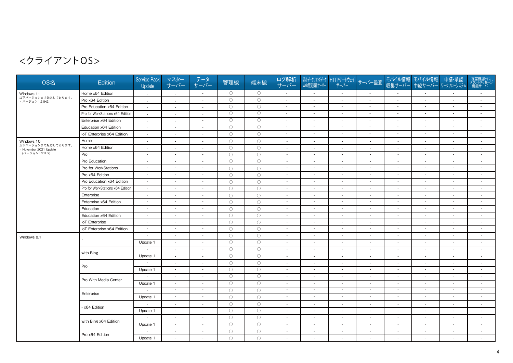| OS名                                          | Edition                          | <b>Service Pack</b><br>Update | マスター<br>サーバー             | データ<br>サーバー              | 管理機                | 端末機                | ログ解析<br>サーバー             | 資産データ / ログデータ<br>Web閲覧機能サーバー | HTTPゲートウェイ<br>サーバー       | サーバー監査                   |                          | モバイル情報 モバイル情報 申請・承認<br>収集サーバー 中継サーバー ワークフローシステム |                          | 在席確認・イン<br>スタントメッセージ<br>機能サーバー |
|----------------------------------------------|----------------------------------|-------------------------------|--------------------------|--------------------------|--------------------|--------------------|--------------------------|------------------------------|--------------------------|--------------------------|--------------------------|-------------------------------------------------|--------------------------|--------------------------------|
| Windows 11                                   | Home x64 Edition                 | $\overline{\phantom{a}}$      | $\blacksquare$           | $\sim$                   | $\circ$            | $\circ$            | $\sim$                   | $\overline{\phantom{a}}$     | $\sim$                   | $\sim$                   | $\overline{a}$           | $\overline{\phantom{a}}$                        | $\overline{\phantom{a}}$ | $\overline{\phantom{a}}$       |
| 以下バージョンまで対応しております。<br>・バージョン: 21H2           | Pro x64 Edition                  | $\overline{\phantom{a}}$      | $\blacksquare$           | $\blacksquare$           | $\circ$            | $\bigcirc$         | $\overline{\phantom{a}}$ | $\overline{\phantom{a}}$     | $\blacksquare$           | $\overline{\phantom{a}}$ | $\overline{\phantom{a}}$ | $\overline{\phantom{a}}$                        | $\overline{\phantom{a}}$ | $\overline{\phantom{a}}$       |
|                                              | Pro Education x64 Edition        | $\overline{\phantom{a}}$      | $\blacksquare$           | $\sim$                   | $\circ$            | $\circ$            | $\sim$                   | $\sim$                       | $\blacksquare$           | $\sim$                   | $\overline{\phantom{a}}$ | $\sim$                                          | $\sim$                   | $\overline{\phantom{a}}$       |
|                                              | Pro for WorkStations x64 Edition | $\overline{\phantom{a}}$      | $\blacksquare$           | $\blacksquare$           | $\circ$            | $\circ$            | $\sim$                   | $\sim$                       | $\overline{\phantom{a}}$ | $\overline{\phantom{a}}$ |                          | $\blacksquare$                                  | $\overline{\phantom{a}}$ | $\overline{\phantom{a}}$       |
|                                              | Enterprise x64 Edition           | $\sim$                        | $\sim$                   | $\blacksquare$           | $\overline{\circ}$ | $\overline{\circ}$ | $\sim$                   | $\sim$                       | $\blacksquare$           | $\blacksquare$           | $\overline{\phantom{a}}$ | $\blacksquare$                                  | $\sim$                   | $\sim$                         |
|                                              | Education x64 Edition            | $\overline{\phantom{a}}$      | $\blacksquare$           | $\mathcal{L}$            | $\circ$            | $\circ$            | $\sim$                   | $\overline{\phantom{a}}$     | $\overline{\phantom{a}}$ | $\sim$                   |                          | $\blacksquare$                                  | $\sim$                   | $\sim$                         |
|                                              | IoT Enterprise x64 Edition       | $\overline{\phantom{a}}$      | $\sim$                   | $\sim$                   | $\circ$            | $\circ$            | $\sim$                   | $\sim$                       | $\blacksquare$           | $\sim$                   | $\overline{\phantom{a}}$ | $\sim$                                          | $\sim$                   | $\sim$                         |
| Windows 10                                   | Home                             | $\overline{\phantom{a}}$      | $\sim$                   | $\sim$                   | $\bigcirc$         | $\bigcirc$         | $\sim$                   | $\overline{\phantom{a}}$     | $\blacksquare$           | $\sim$                   | $\sim$                   | $\overline{\phantom{a}}$                        | $\sim$                   | $\sim$                         |
| 以下バージョンまで対応しております。<br>· November 2021 Update | Home x64 Edition                 | $\overline{\phantom{a}}$      | $\blacksquare$           | $\overline{\phantom{a}}$ | $\circ$            | $\circ$            | $\overline{\phantom{a}}$ | $\overline{\phantom{a}}$     | $\overline{\phantom{a}}$ | $\sim$                   | $\overline{\phantom{a}}$ | $\overline{\phantom{a}}$                        | $\overline{\phantom{a}}$ | $\overline{\phantom{a}}$       |
| (バージョン: 21H2)                                | Pro                              | $\overline{\phantom{a}}$      | $\sim$                   | $\sim$                   | $\circ$            | $\circ$            | $\overline{\phantom{a}}$ | $\overline{\phantom{a}}$     | $\sim$                   | $\sim$                   | $\overline{\phantom{a}}$ | $\sim$                                          | $\sim$                   | $\overline{\phantom{a}}$       |
|                                              | Pro Education                    | $\blacksquare$                | $\sim$                   | $\overline{\phantom{a}}$ | $\bigcirc$         | $\bigcirc$         | $\overline{\phantom{a}}$ | $\overline{\phantom{a}}$     | $\blacksquare$           | $\overline{\phantom{a}}$ | $\overline{\phantom{a}}$ | $\blacksquare$                                  | $\sim$                   | $\overline{\phantom{a}}$       |
|                                              | Pro for WorkStations             | $\overline{\phantom{a}}$      | $\blacksquare$           | $\sim$                   | $\circ$            | $\bigcirc$         | $\sim$                   | $\sim$                       | $\blacksquare$           | $\sim$                   | $\sim$                   | $\blacksquare$                                  | $\sim$                   | $\sim$                         |
|                                              | Pro x64 Edition                  | $\overline{\phantom{a}}$      | $\blacksquare$           | $\sim$                   | $\circ$            | $\circ$            | $\overline{\phantom{a}}$ |                              | $\overline{\phantom{a}}$ | $\sim$                   | $\overline{\phantom{a}}$ | $\overline{\phantom{a}}$                        | $\sim$                   | $\sim$                         |
|                                              | Pro Education x64 Edition        | $\overline{\phantom{a}}$      | $\sim$                   | $\sim$                   | $\circ$            | $\bigcirc$         | $\overline{a}$           | $\sim$                       | $\overline{\phantom{a}}$ | $\sim$                   | $\sim$                   | $\sim$                                          | $\sim$                   | $\overline{a}$                 |
|                                              | Pro for WorkStations x64 Edition | $\sim$                        | $\sim$                   | $\sim$                   | $\bigcirc$         | $\bigcirc$         | $\sim$                   | $\sim$                       | $\overline{\phantom{a}}$ | $\sim$                   | $\overline{\phantom{a}}$ | $\blacksquare$                                  | $\sim$                   | $\sim$                         |
|                                              | Enterprise                       | $\sim$                        | $\sim$                   | $\sim$                   | $\circ$            | $\circ$            | $\sim$                   | $\sim$                       | $\overline{\phantom{a}}$ | $\sim$                   | $\overline{\phantom{a}}$ | $\blacksquare$                                  | $\sim$                   | $\sim$                         |
|                                              | Enterprise x64 Edition           | $\sim$                        | $\sim$                   | $\sim$                   | $\bigcirc$         | $\circ$            | $\sim$                   | $\sim$                       | $\overline{\phantom{a}}$ | $\sim$                   | $\overline{\phantom{a}}$ | $\overline{\phantom{a}}$                        | $\sim$                   | $\sim$                         |
|                                              | Education                        | $\sim$                        | $\sim$                   | $\sim$                   | $\bigcirc$         | $\bigcirc$         | $\sim$                   | $\sim$                       | $\overline{\phantom{a}}$ | $\sim$                   | $\overline{\phantom{a}}$ | $\overline{\phantom{a}}$                        | $\sim$                   | $\sim$                         |
|                                              | Education x64 Edition            | $\sim$                        | $\overline{\phantom{a}}$ | $\blacksquare$           | $\circ$            | $\circ$            | $\overline{\phantom{a}}$ | $\sim$                       | $\overline{\phantom{a}}$ | $\sim$                   | $\overline{\phantom{a}}$ | $\overline{\phantom{a}}$                        | $\blacksquare$           | $\sim$                         |
|                                              | <b>IoT</b> Enterprise            | $\sim$                        | $\sim$                   | $\sim$                   | $\circ$            | $\circ$            | $\sim$                   | $\sim$                       | $\overline{\phantom{a}}$ | $\sim$                   | $\sim$                   | $\blacksquare$                                  | $\sim$                   | $\sim$                         |
|                                              | IoT Enterprise x64 Edition       | $\sim$                        | $\overline{\phantom{a}}$ | $\sim$                   | $\bigcirc$         | $\bigcirc$         | $\sim$                   | $\sim$                       | $\blacksquare$           | $\sim$                   | $\overline{\phantom{a}}$ | $\blacksquare$                                  | $\sim$                   | $\sim$                         |
| Windows 8.1                                  |                                  | $\sim$                        | $\overline{\phantom{a}}$ | $\blacksquare$           | $\circ$            | $\circ$            | $\sim$                   | $\overline{\phantom{a}}$     | $\overline{\phantom{a}}$ | $\sim$                   | $\overline{\phantom{a}}$ | $\overline{\phantom{a}}$                        | $\sim$                   | $\sim$                         |
|                                              |                                  | Update 1                      | $\blacksquare$           | $\sim$                   | $\circ$            | $\circ$            | $\sim$                   | $\sim$                       | $\blacksquare$           | $\sim$                   | $\overline{\phantom{a}}$ | $\overline{\phantom{a}}$                        | $\sim$                   | $\overline{\phantom{a}}$       |
|                                              | with Bing                        | $\overline{a}$                | $\sim$                   | $\blacksquare$           | $\circ$            | $\circ$            | $\overline{\phantom{a}}$ | $\overline{\phantom{a}}$     | $\blacksquare$           | $\sim$                   | $\overline{\phantom{a}}$ | $\blacksquare$                                  | $\sim$                   | $\sim$                         |
|                                              |                                  | Update 1                      | $\sim$                   | $\overline{\phantom{a}}$ | $\circ$            | $\circ$            | $\overline{\phantom{a}}$ | $\sim$                       | $\blacksquare$           | $\sim$                   | $\overline{\phantom{a}}$ | $\overline{\phantom{a}}$                        | $\overline{\phantom{a}}$ | $\overline{\phantom{a}}$       |
|                                              | Pro                              | $\overline{\phantom{a}}$      | $\blacksquare$           | $\sim$                   | $\circ$            | $\circ$            | $\sim$                   | $\sim$                       | $\blacksquare$           | $\sim$                   | $\blacksquare$           | $\blacksquare$                                  | $\sim$                   | $\sim$                         |
|                                              |                                  | Update 1                      | $\blacksquare$           | $\blacksquare$           | $\circ$            | $\circ$            | $\overline{\phantom{a}}$ | $\overline{\phantom{a}}$     | $\blacksquare$           | $\sim$                   | $\blacksquare$           | $\blacksquare$                                  | $\sim$                   | $\blacksquare$                 |
|                                              | Pro With Media Center            | $\sim$                        | $\sim$                   | $\sim$                   | $\circ$            | $\circ$            | $\sim$                   | $\sim$                       | $\overline{\phantom{a}}$ | $\sim$                   | $\sim$                   | $\blacksquare$                                  | $\sim$                   | $\sim$                         |
|                                              |                                  | Update 1                      | $\sim$                   | $\sim$                   | $\circ$            | $\circ$            | $\sim$                   | $\sim$                       | $\sim$                   | $\sim$                   | $\overline{\phantom{a}}$ | $\overline{\phantom{a}}$                        | $\sim$                   | $\overline{\phantom{a}}$       |
|                                              | Enterprise                       | $\overline{\phantom{a}}$      | $\sim$                   | $\sim$                   | $\circ$            | $\circ$            | $\sim$                   | $\sim$                       | $\overline{\phantom{a}}$ | $\sim$                   | $\sim$                   | $\sim$                                          | $\sim$                   | $\sim$                         |
|                                              |                                  | Update 1                      | $\overline{\phantom{a}}$ | $\mathcal{L}$            | $\bigcirc$         | $\circ$            | $\overline{\phantom{a}}$ | $\overline{\phantom{a}}$     | $\blacksquare$           | $\sim$                   |                          | $\blacksquare$                                  | $\sim$                   | $\sim$                         |
|                                              | x64 Edition                      | $\sim$                        | $\blacksquare$           | $\sim$                   | $\bigcirc$         | $\bigcirc$         |                          |                              | $\sim$                   | $\sim$                   |                          |                                                 | $\overline{\phantom{a}}$ | $\overline{\phantom{a}}$       |
|                                              |                                  | Update 1                      | $\overline{\phantom{a}}$ | $\sim$                   | $\circ$            | $\circ$            | $\overline{\phantom{a}}$ | $\sim$                       | $\overline{\phantom{a}}$ | $\sim$                   | $\sim$                   | $\sim$                                          | $\sim$                   | $\sim$                         |
|                                              | with Bing x64 Edition            | $\overline{\phantom{a}}$      | $\blacksquare$           | $\sim$                   | $\circ$            | $\circ$            | $\sim$                   | $\sim$                       | $\blacksquare$           | $\sim$                   | $\overline{\phantom{a}}$ | $\blacksquare$                                  | $\sim$                   | $\sim$                         |
|                                              |                                  | Update 1                      | $\overline{\phantom{a}}$ | $\overline{\phantom{a}}$ | $\circ$            | $\circ$            | $\sim$                   |                              | $\overline{\phantom{a}}$ | $\overline{a}$           |                          | $\overline{\phantom{a}}$                        | $\overline{\phantom{a}}$ | $\overline{\phantom{a}}$       |
|                                              | Pro x64 Edition                  | $\overline{\phantom{a}}$      | $\sim$                   | $\sim$                   | $\circ$            | $\circ$            | $\sim$                   | $\sim$                       | $\blacksquare$           | $\sim$                   | $\overline{\phantom{a}}$ | $\blacksquare$                                  | $\sim$                   | $\sim$                         |
|                                              |                                  | Update 1                      | $\sim$                   | $\blacksquare$           | $\circ$            | $\circ$            | $\sim$                   | $\overline{\phantom{a}}$     | $\sim$                   | $\sim$                   | $\sim$                   | $\sim$                                          | $\sim$                   | $\overline{a}$                 |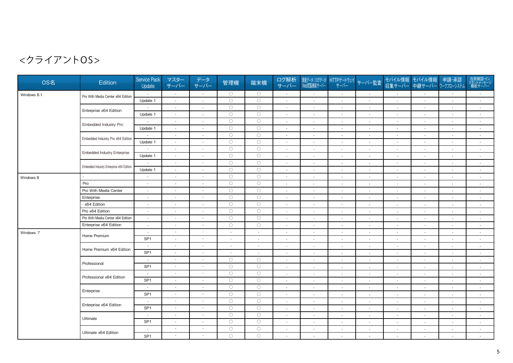| OS名         | Edition                                  | <b>Service Pack</b><br>Update               | マスター<br>サーバー                                                                                                                                                                                                                                                                                                                                                                                                                                                               | データ<br>サーバー              | 管理機                   | 端末機                      | ログ解析<br>サーバー             | 資産データ / ログデータ<br>Web閲覧機能サーバー       | サーバー                               | HTTPゲートウェイサーバー監査         |                          | モバイル情報 モバイル情報<br>収集サーバー 中継サーバー             | 申請·承認<br>ワークフローシステム      | 在席確認・イン<br>スタントメッセージ<br>機能サーバー |
|-------------|------------------------------------------|---------------------------------------------|----------------------------------------------------------------------------------------------------------------------------------------------------------------------------------------------------------------------------------------------------------------------------------------------------------------------------------------------------------------------------------------------------------------------------------------------------------------------------|--------------------------|-----------------------|--------------------------|--------------------------|------------------------------------|------------------------------------|--------------------------|--------------------------|--------------------------------------------|--------------------------|--------------------------------|
| Windows 8.1 | Pro With Media Center x64 Edition        | $\sim$                                      | $\sim$                                                                                                                                                                                                                                                                                                                                                                                                                                                                     | $\sim$                   | $\circ$               | $\circ$                  | $\sim$                   | $\sim$                             | $\sim$                             | $\sim$                   | $\sim$                   | $\sim$                                     | $\sim$                   | $\sim$                         |
|             |                                          | Update 1                                    | $\mathcal{L}$                                                                                                                                                                                                                                                                                                                                                                                                                                                              | $\sim$                   | $\circ$               | $\circ$                  | $\sim$                   | $\sim$                             | $\sim$                             | $\sim$                   | $\sim$                   | $\sim$                                     | $\sim$                   | $\sim$                         |
|             | Enterprise x64 Edition                   |                                             | $\blacksquare$                                                                                                                                                                                                                                                                                                                                                                                                                                                             | $\overline{a}$           | $\circ$               | $\circ$                  | $\overline{\phantom{a}}$ | $\overline{\phantom{a}}$           | $\overline{\phantom{a}}$           | $\sim$                   |                          | $\blacksquare$                             | $\overline{\phantom{a}}$ | $\overline{\phantom{a}}$       |
|             |                                          | Update 1                                    | $\blacksquare$                                                                                                                                                                                                                                                                                                                                                                                                                                                             | $\sim$                   | $\bigcirc$            | $\circ$                  | $\overline{\phantom{a}}$ | $\overline{\phantom{a}}$           | $\overline{\phantom{a}}$           | $\mathbf{r}$             |                          | $\overline{\phantom{a}}$                   | $\overline{\phantom{a}}$ | $\overline{\phantom{a}}$       |
|             | Embedded Industry Pro                    |                                             | $\blacksquare$                                                                                                                                                                                                                                                                                                                                                                                                                                                             | $\sim$                   | $\circ$               | $\circ$                  | $\sim$                   | $\sim$                             | $\overline{\phantom{a}}$           | $\overline{\phantom{a}}$ |                          | $\overline{\phantom{a}}$                   | $\overline{\phantom{a}}$ | $\sim$                         |
|             |                                          | Update 1                                    | $\sim$                                                                                                                                                                                                                                                                                                                                                                                                                                                                     | $\sim$                   | $\circ$               | $\circ$                  | $\sim$                   | $\sim$                             | $\overline{a}$                     | $\sim$                   |                          | $\overline{a}$                             | $\sim$                   | $\sim$                         |
|             | Embedded Industry Pro x64 Edition        |                                             | $\sim$                                                                                                                                                                                                                                                                                                                                                                                                                                                                     | $\mathcal{L}$            | $\circ$               | $\circ$                  | $\sim$                   | $\sim$                             | $\sim$                             | $\sim$                   | $\sim$                   | $\sim$                                     | $\sim$                   | $\sim$                         |
|             |                                          | Update 1                                    | $\sim$                                                                                                                                                                                                                                                                                                                                                                                                                                                                     | $\mathcal{L}$            | $\bigcirc$            | $\bigcirc$               | $\sim$                   | $\sim$                             | $\sim$                             | $\sim$                   | $\sim$                   | $\blacksquare$                             | $\sim$                   | $\sim$                         |
|             | <b>Embedded Industry Enterprise</b>      |                                             | $\overline{\phantom{a}}$                                                                                                                                                                                                                                                                                                                                                                                                                                                   | $\blacksquare$           | $\circ$               | $\circ$                  | $\sim$                   | $\overline{\phantom{a}}$           | $\sim$                             | $\sim$                   | $\sim$                   | $\blacksquare$                             | $\sim$                   | $\sim$                         |
|             |                                          | Update 1                                    | $\blacksquare$                                                                                                                                                                                                                                                                                                                                                                                                                                                             | $\sim$                   | $\circ$               | $\bigcirc$               | $\sim$                   | $\sim$                             | $\sim$                             | $\sim$                   | $\sim$                   | $\overline{\phantom{a}}$                   | $\blacksquare$           | $\sim$                         |
|             | Embedded Industry Enterprise x64 Edition |                                             | $\frac{1}{2} \left( \frac{1}{2} \right) \left( \frac{1}{2} \right) \left( \frac{1}{2} \right) \left( \frac{1}{2} \right) \left( \frac{1}{2} \right) \left( \frac{1}{2} \right) \left( \frac{1}{2} \right) \left( \frac{1}{2} \right) \left( \frac{1}{2} \right) \left( \frac{1}{2} \right) \left( \frac{1}{2} \right) \left( \frac{1}{2} \right) \left( \frac{1}{2} \right) \left( \frac{1}{2} \right) \left( \frac{1}{2} \right) \left( \frac{1}{2} \right) \left( \frac$ | $\overline{\phantom{a}}$ | $\circ$               | $\circ$                  | $\sim$                   | $\overline{\phantom{a}}$           | $\overline{\phantom{a}}$           | $\sim$                   |                          | $\overline{\phantom{a}}$                   | $\blacksquare$           | $\sim$                         |
|             |                                          | Update 1                                    | $\blacksquare$                                                                                                                                                                                                                                                                                                                                                                                                                                                             | $\blacksquare$           | $\circ$               | $\bigcirc$               | $\sim$                   | $\overline{\phantom{a}}$           | $\overline{\phantom{a}}$           | $\blacksquare$           |                          |                                            | $\blacksquare$           | $\overline{\phantom{a}}$       |
| Windows 8   |                                          | $\sim$                                      | $\sim$                                                                                                                                                                                                                                                                                                                                                                                                                                                                     | $\sim$                   | $\circ$               | $\circ$                  | $\sim$                   | $\sim$                             | $\sim$                             | $\sim$                   | $\overline{a}$           | $\sim$                                     | $\sim$                   | $\sim$                         |
|             | Pro                                      | $\sim$                                      | $\blacksquare$                                                                                                                                                                                                                                                                                                                                                                                                                                                             | $\blacksquare$           | $\circ$               | $\circ$                  | $\sim$                   | $\sim$                             | $\mathbf{r}$                       | $\sim$                   |                          | $\sim$                                     | $\overline{\phantom{a}}$ | $\sim$                         |
|             | Pro With Media Center                    | $\sim$                                      | $\mathcal{L}_{\mathcal{A}}$                                                                                                                                                                                                                                                                                                                                                                                                                                                | $\sim$                   | $\bigcirc$            | $\circ$                  | $\sim$                   | $\sim$                             | ÷.                                 | $\sim$                   | $\sim$                   | $\sim$                                     | $\sim$                   | $\sim$                         |
|             | Enterprise                               | $\sim$                                      | $\mathcal{L}_{\mathcal{A}}$                                                                                                                                                                                                                                                                                                                                                                                                                                                | $\sim$                   | $\bigcirc$            | $\circ$                  | $\sim$                   | $\sim$                             | $\sim$                             | $\sim$                   |                          | $\sim$                                     | $\sim$                   | $\sim$                         |
|             | x64 Edition                              | $\sim$                                      | $\blacksquare$                                                                                                                                                                                                                                                                                                                                                                                                                                                             | $\blacksquare$           | $\circ$               | $\circ$                  | $\sim$                   | $\overline{\phantom{a}}$           | $\sim$                             | $\sim$                   |                          | ٠                                          | $\sim$                   | $\sim$                         |
|             | Pro x64 Edition                          | $\sim$                                      | $\blacksquare$                                                                                                                                                                                                                                                                                                                                                                                                                                                             | $\sim$                   | $\circ$               | $\circ$                  | $\sim$                   | $\sim$                             | $\sim$                             | $\sim$                   |                          |                                            | $\sim$                   | $\sim$                         |
|             | Pro With Media Center x64 Edition        | $\sim$                                      | $\sim$                                                                                                                                                                                                                                                                                                                                                                                                                                                                     | $\blacksquare$           | $\circ$               | $\circ$                  | $\sim$                   | $\sim$                             | $\mathbf{r}$                       | $\blacksquare$           | $\overline{a}$           | $\mathcal{L}_{\mathcal{A}}$                | $\blacksquare$           | $\sim$                         |
|             | Enterprise x64 Edition                   | $\sim$                                      | $\sim$                                                                                                                                                                                                                                                                                                                                                                                                                                                                     | $\sim$                   | $\circ$               | $\circ$                  | $\sim$                   | $\sim$                             | $\blacksquare$                     | $\sim$                   | $\overline{a}$           | $\mathcal{L}_{\mathcal{A}}$                | $\blacksquare$           | $\sim$                         |
| Windows 7   | Home Premium                             | $\sim$                                      | $\sim$                                                                                                                                                                                                                                                                                                                                                                                                                                                                     | $\sim$                   | $\sim$                | $\blacksquare$           | $\sim$                   | $\sim$                             | $\sim$                             | $\sim$                   | $\overline{a}$           | $\blacksquare$                             | $\overline{\phantom{a}}$ | $\sim$                         |
|             |                                          | SP <sub>1</sub>                             | $\blacksquare$                                                                                                                                                                                                                                                                                                                                                                                                                                                             | $\sim$                   | $\sim$                | $\blacksquare$           | $\sim$                   | $\sim$                             | $\sim$                             | $\sim$                   | $\overline{\phantom{a}}$ | $\overline{\phantom{a}}$                   | $\sim$                   | $\sim$                         |
|             | Home Premium x64 Edition                 | $\sim$                                      | $\sim$                                                                                                                                                                                                                                                                                                                                                                                                                                                                     | $\sim$                   | $\sim$                | $\blacksquare$           | $\sim$                   | $\sim$                             | $\blacksquare$                     | $\sim$                   | $\overline{\phantom{a}}$ | $\blacksquare$                             | $\sim$                   | $\sim$                         |
|             |                                          | SP <sub>1</sub>                             | $\mathcal{L}_{\mathcal{A}}$                                                                                                                                                                                                                                                                                                                                                                                                                                                | $\blacksquare$           | $\sim$                | $\overline{\phantom{a}}$ | $\sim$                   | $\overline{\phantom{a}}$           | $\overline{\phantom{a}}$           | $\overline{\phantom{a}}$ |                          | $\overline{\phantom{a}}$                   | $\overline{\phantom{a}}$ | $\sim$                         |
|             | Professional                             | $\sim$                                      | $\sim$                                                                                                                                                                                                                                                                                                                                                                                                                                                                     | $\overline{\phantom{a}}$ | $\circ$               | $\bigcirc$               | $\sim$                   | $\overline{\phantom{a}}$           | $\blacksquare$                     | $\sim$                   |                          | $\overline{\phantom{a}}$                   | $\blacksquare$           | $\overline{\phantom{a}}$       |
|             |                                          | SP <sub>1</sub>                             | $\blacksquare$                                                                                                                                                                                                                                                                                                                                                                                                                                                             | $\overline{\phantom{a}}$ | $\bigcirc$            | $\bigcirc$               | $\sim$                   | $\sim$                             | $\overline{\phantom{a}}$           | $\sim$                   | $\sim$                   | $\sim$                                     | $\overline{\phantom{a}}$ | $\sim$                         |
|             | Professional x64 Edition                 | $\sim$<br>SP <sub>1</sub>                   | $\mathcal{L}_{\mathcal{A}}$                                                                                                                                                                                                                                                                                                                                                                                                                                                | $\overline{\phantom{a}}$ | $\circ$<br>$\bigcirc$ | $\circ$<br>$\circ$       | $\overline{\phantom{a}}$ | $\overline{\phantom{a}}$           | $\sim$                             | $\sim$                   | $\overline{\phantom{a}}$ | $\blacksquare$                             | $\overline{\phantom{a}}$ | $\sim$                         |
|             |                                          |                                             | $\blacksquare$                                                                                                                                                                                                                                                                                                                                                                                                                                                             | $\overline{\phantom{a}}$ | $\circ$               | $\circ$                  | $\overline{\phantom{a}}$ | $\overline{\phantom{a}}$           | $\sim$                             | $\sim$                   | $\sim$                   | $\overline{\phantom{a}}$                   | $\overline{\phantom{a}}$ | $\sim$                         |
|             | Enterprise                               | $\overline{\phantom{a}}$<br>SP <sub>1</sub> | $\sim$<br>$\sim$                                                                                                                                                                                                                                                                                                                                                                                                                                                           | $\sim$<br>$\sim$         | $\circ$               | $\circ$                  | $\overline{\phantom{a}}$ | $\overline{\phantom{a}}$           | $\overline{\phantom{a}}$           | $\mathcal{L}$            |                          | $\blacksquare$                             | $\overline{\phantom{a}}$ | $\sim$                         |
|             |                                          |                                             | $\blacksquare$                                                                                                                                                                                                                                                                                                                                                                                                                                                             | $\sim$                   | $\circ$               | $\circ$                  | $\overline{\phantom{a}}$ | $\overline{\phantom{a}}$           | $\overline{\phantom{a}}$           | $\sim$                   |                          |                                            | $\sim$                   | $\sim$                         |
|             | Enterprise x64 Edition                   | $\overline{\phantom{a}}$<br>SP <sub>1</sub> | $\mathcal{L}_{\mathcal{A}}$                                                                                                                                                                                                                                                                                                                                                                                                                                                | $\sim$                   | $\circ$               | $\circ$                  | $\sim$                   | $\sim$                             | $\overline{\phantom{a}}$           | $\sim$                   |                          |                                            | $\overline{\phantom{a}}$ | $\sim$                         |
|             |                                          | $\sim$                                      | $\mathcal{L}_{\mathcal{A}}$                                                                                                                                                                                                                                                                                                                                                                                                                                                | $\sim$                   | $\circ$               | $\circ$                  | $\sim$                   | $\sim$                             | $\sim$                             | $\sim$                   | $\sim$                   | $\overline{a}$                             | $\sim$                   | $\sim$                         |
|             | Ultimate                                 | SP <sub>1</sub>                             | $\blacksquare$                                                                                                                                                                                                                                                                                                                                                                                                                                                             | $\sim$                   | $\circ$               | $\bigcirc$               | $\sim$<br>$\sim$         | $\sim$                             | $\overline{\phantom{a}}$<br>$\sim$ | $\sim$<br>$\sim$         | $\sim$                   | $\sim$                                     | $\overline{\phantom{a}}$ | $\sim$                         |
|             |                                          | $\overline{\phantom{a}}$                    | $\blacksquare$                                                                                                                                                                                                                                                                                                                                                                                                                                                             | $\blacksquare$           | $\bigcirc$            | $\bigcirc$               | $\overline{\phantom{a}}$ | $\sim$<br>$\overline{\phantom{a}}$ | $\overline{\phantom{a}}$           | $\sim$                   | $\sim$<br>$\sim$         | $\sim$                                     | $\sim$<br>$\sim$         | $\sim$                         |
|             | Ultimate x64 Edition                     | SP <sub>1</sub>                             | $\mathbb{Z}^+$                                                                                                                                                                                                                                                                                                                                                                                                                                                             | $\mathbf{r}$             | $\bigcirc$            | $\circ$                  | $\overline{\phantom{a}}$ |                                    | $\overline{\phantom{a}}$           | $\mathcal{L}$            |                          | $\overline{\phantom{a}}$<br>$\blacksquare$ | $\sim$                   | $\sim$                         |
|             |                                          |                                             |                                                                                                                                                                                                                                                                                                                                                                                                                                                                            |                          |                       |                          |                          |                                    |                                    |                          |                          |                                            |                          |                                |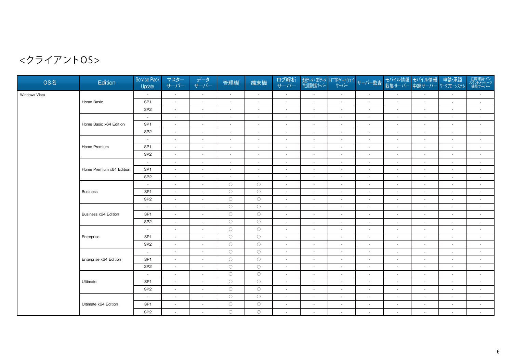| OS名           | Edition                  | <b>Service Pack</b><br>Update | マスター<br>サーバー             | データ<br>サーバー                 | 管理機                      | 端末機                      | ログ解析<br>サーバー             | 資産データ/ログデータ<br>Web閲覧機能サーバー  | HTTPゲートウェイ               | サーバー監査                   |                          | モバイル情報 モバイル情報<br>収集サーバー 中継サーバー | 申請·承認<br>ワークフローシステム         | 在席確認・イン<br>スタントメッセージ<br>機能サーバー |
|---------------|--------------------------|-------------------------------|--------------------------|-----------------------------|--------------------------|--------------------------|--------------------------|-----------------------------|--------------------------|--------------------------|--------------------------|--------------------------------|-----------------------------|--------------------------------|
| Windows Vista |                          | $\sim$                        | $\sim$                   | $\blacksquare$              | $\sim$                   | $\sim$                   | $\sim$                   | $\sim$                      | $\sim$                   | $\sim$                   | $\sim$                   | $\sim$                         | $\sim$                      | $\sim$                         |
|               | Home Basic               | SP <sub>1</sub>               | $\sim$                   | $\blacksquare$              | $\sim$                   | $\overline{\phantom{a}}$ | $\sim$                   | $\sim$                      | $\sim$                   | $\overline{\phantom{a}}$ | $\overline{\phantom{a}}$ | $\overline{\phantom{a}}$       | $\overline{\phantom{a}}$    | $\sim$                         |
|               |                          | SP <sub>2</sub>               | $\sim$                   | $\sim$                      | $\overline{\phantom{a}}$ | $\overline{\phantom{a}}$ | $\overline{\phantom{a}}$ | $\sim$                      | $\overline{a}$           | $\sim$                   | $\overline{\phantom{a}}$ | $\overline{a}$                 | $\sim$                      | $\sim$                         |
|               |                          | $\sim$                        | $\sim$                   | $\sim$                      | $\sim$                   | $\blacksquare$           | $\sim$                   | $\sim$                      | $\sim$                   | $\overline{\phantom{a}}$ | $\sim$                   | $\sim$                         | $\sim$                      | $\sim$                         |
|               | Home Basic x64 Edition   | SP <sub>1</sub>               | $\sim$                   | $\blacksquare$              | $\sim$                   | $\sim$                   | $\overline{\phantom{a}}$ | $\overline{\phantom{a}}$    |                          | $\sim$                   | $\overline{\phantom{a}}$ | $\sim$                         | $\blacksquare$              | $\sim$                         |
|               |                          | SP <sub>2</sub>               | $\sim$                   | $\blacksquare$              | $\sim$                   | $\sim$                   | $\sim$                   | $\sim$                      | $\sim$                   | $\blacksquare$           | $\overline{\phantom{a}}$ | $\sim$                         | $\sim$                      | $\sim$                         |
|               |                          | $\sim$                        | $\sim$                   | $\sim$                      | $\sim$                   | $\sim$                   | $\sim$                   | $\sim$                      | $\sim$                   | $\overline{\phantom{a}}$ | $\sim$                   | $\sim$                         | $\sim$                      | $\sim$                         |
|               | Home Premium             | SP <sub>1</sub>               | $\sim$                   | $\mathcal{L}_{\mathcal{A}}$ | $\overline{\phantom{a}}$ | $\overline{\phantom{a}}$ | $\blacksquare$           | $\overline{\phantom{a}}$    | $\overline{\phantom{a}}$ | $\sim$                   | $\sim$                   | $\overline{\phantom{a}}$       | $\overline{\phantom{a}}$    | $\blacksquare$                 |
|               |                          | SP <sub>2</sub>               | $\sim$                   | $\sim$                      | $\sim$                   | $\sim$                   | $\sim$                   | $\sim$                      | $\sim$                   | $\sim$                   | $\sim$                   | $\sim$                         | $\sim$                      | $\sim$                         |
|               |                          | $\sim$                        | $\sim$                   | $\blacksquare$              | $\sim$                   | $\sim$                   | $\sim$                   | $\sim$                      | $\sim$                   | $\blacksquare$           | $\sim$                   | $\sim$                         | $\overline{\phantom{a}}$    | $\sim$                         |
|               | Home Premium x64 Edition | SP <sub>1</sub>               | $\sim$                   | $\sim$                      | $\sim$                   | ÷                        | $\sim$                   | $\sim$                      | $\sim$                   | $\sim$                   | $\overline{\phantom{a}}$ | $\overline{a}$                 | $\mathcal{L}_{\mathcal{A}}$ | $\sim$                         |
|               |                          | SP <sub>2</sub>               | $\sim$                   | $\sim$                      | $\sim$                   | $\sim$                   | $\sim$                   | $\sim$                      | $\sim$                   | $\sim$                   | $\overline{\phantom{a}}$ | $\sim$                         | $\sim$                      | $\sim$                         |
|               |                          | $\sim$                        | $\sim$                   | $\blacksquare$              | $\circ$                  | $\circ$                  | $\sim$                   | $\overline{\phantom{a}}$    | $\sim$                   | $\overline{\phantom{a}}$ | $\overline{\phantom{a}}$ | $\overline{\phantom{a}}$       | $\blacksquare$              | $\overline{\phantom{a}}$       |
|               | <b>Business</b>          | SP <sub>1</sub>               | $\sim$                   | $\mathcal{L}_{\mathcal{A}}$ | $\circ$                  | $\circ$                  | $\sim$                   | $\sim$                      | $\sim$                   | $\blacksquare$           | $\overline{\phantom{a}}$ | $\overline{a}$                 | $\blacksquare$              | $\sim$                         |
|               |                          | SP <sub>2</sub>               | $\sim$                   | $\blacksquare$              | $\bigcirc$               | $\bigcirc$               | $\sim$                   | $\sim$                      | $\sim$                   | $\overline{\phantom{a}}$ | $\overline{\phantom{a}}$ | $\sim$                         | $\overline{\phantom{a}}$    | $\sim$                         |
|               | Business x64 Edition     | $\sim$                        | $\sim$                   | $\mathcal{L}_{\mathcal{A}}$ | $\bigcirc$               | $\circ$                  | $\omega$                 | $\mathcal{L}_{\mathcal{A}}$ | $\sim$                   | $\sim$                   | $\sim$                   | $\overline{\phantom{a}}$       | $\overline{\phantom{a}}$    | $\sim$                         |
|               |                          | SP <sub>1</sub>               | $\sim$                   | $\sim$                      | $\circ$                  | $\circ$                  | $\sim$                   | $\sim$                      | $\sim$                   | $\mathbf{r}$             | $\sim$                   | $\sim$                         | $\sim$                      | $\sim$                         |
|               |                          | SP <sub>2</sub>               | $\sim$                   | $\sim$                      | $\circ$                  | $\bigcirc$               | $\sim$                   | $\sim$                      | $\sim$                   | $\blacksquare$           | $\overline{\phantom{a}}$ | $\sim$                         | $\overline{\phantom{a}}$    | $\sim$                         |
|               |                          | $\sim$                        | $\sim$                   | $\sim$                      | $\circ$                  | $\bigcirc$               | $\blacksquare$           | $\sim$                      | $\sim$                   | $\overline{\phantom{a}}$ | $\sim$                   | $\overline{\phantom{a}}$       | $\blacksquare$              | $\blacksquare$                 |
|               | Enterprise               | SP <sub>1</sub>               | $\sim$                   | $\sim$                      | $\circ$                  | $\circ$                  | $\sim$                   | $\sim$                      | $\sim$                   | $\blacksquare$           | $\sim$                   | $\sim$                         | $\blacksquare$              | $\sim$                         |
|               |                          | SP <sub>2</sub>               | $\sim$                   | $\overline{\phantom{a}}$    | $\circ$                  | $\circ$                  | $\sim$                   | $\sim$                      | $\sim$                   | $\overline{\phantom{a}}$ | $\overline{\phantom{a}}$ | $\overline{\phantom{a}}$       | $\overline{\phantom{a}}$    | $\sim$                         |
|               |                          | $\sim$                        | $\overline{\phantom{a}}$ | $\sim$                      | $\circ$                  | $\circ$                  | $\sim$                   | $\sim$                      | $\sim$                   | $\blacksquare$           | $\overline{\phantom{a}}$ | $\overline{a}$                 | $\overline{\phantom{a}}$    | $\overline{\phantom{a}}$       |
|               | Enterprise x64 Edition   | SP <sub>1</sub>               | $\sim$                   | $\blacksquare$              | $\bigcirc$               | $\circ$                  | $\sim$                   | $\sim$                      | $\sim$                   | $\blacksquare$           | $\sim$                   | $\sim$                         | $\sim$                      | $\sim$                         |
|               |                          | SP <sub>2</sub>               | $\sim$                   | $\mathcal{L}$               | $\circ$                  | $\circ$                  | $\sim$                   | $\overline{\phantom{a}}$    | $\overline{\phantom{a}}$ | $\overline{\phantom{a}}$ | $\overline{\phantom{a}}$ | $\sim$                         | $\overline{\phantom{a}}$    | $\overline{\phantom{a}}$       |
|               |                          | $\sim$                        | $\sim$                   | $\blacksquare$              | $\circ$                  | $\circ$                  | $\sim$                   | $\sim$                      | $\sim$                   | $\blacksquare$           | $\overline{\phantom{a}}$ | $\sim$                         | $\sim$                      | $\sim$                         |
|               | Ultimate                 | SP <sub>1</sub>               | $\sim$                   | $\mathcal{L}$               | $\circ$                  | $\circ$                  | $\sim$                   | $\sim$                      | $\sim$                   | $\overline{\phantom{a}}$ | $\sim$                   | $\sim$                         | $\sim$                      | $\sim$                         |
|               |                          | SP <sub>2</sub>               | $\overline{\phantom{a}}$ | $\overline{a}$              | $\bigcirc$               | $\bigcirc$               | $\blacksquare$           | $\overline{\phantom{a}}$    | $\overline{\phantom{a}}$ | $\sim$                   | $\sim$                   |                                | $\mathcal{L}_{\mathcal{A}}$ | $\overline{\phantom{a}}$       |
|               |                          | $\sim$                        | $\sim$                   | $\blacksquare$              | $\circ$                  | $\circ$                  | $\sim$                   | $\sim$                      | $\sim$                   | $\sim$                   | $\sim$                   | $\sim$                         | $\overline{\phantom{a}}$    | $\sim$                         |
|               | Ultimate x64 Edition     | SP <sub>1</sub>               | $\sim$                   | $\mathcal{L}_{\mathcal{A}}$ | $\circ$                  | $\circ$                  | $\sim$                   | $\sim$                      | $\sim$                   | $\sim$                   | $\sim$                   | $\sim$                         | $\sim$                      | $\sim$                         |
|               |                          | SP <sub>2</sub>               | $\sim$                   | $\sim$                      | $\bigcirc$               | $\bigcirc$               | $\sim$                   | $\sim$                      | $\overline{\phantom{a}}$ | $\overline{\phantom{a}}$ | $\sim$                   | $\sim$                         | $\blacksquare$              | $\sim$                         |